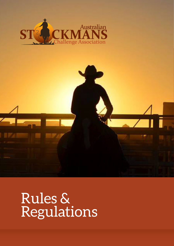



# Rules & Regulations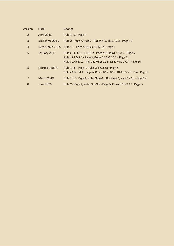| <b>Version</b> | <b>Date</b>       | <b>Change</b>                                                                                                                                                                            |
|----------------|-------------------|------------------------------------------------------------------------------------------------------------------------------------------------------------------------------------------|
| 2              | April 2015        | Rule 1.12 - Page 4                                                                                                                                                                       |
| 3              | 3rd March 2016    | Rule 2 - Page 4, Rule 3 - Pages 4-5, Rule 12.2 - Page 10                                                                                                                                 |
| $\overline{4}$ | 10th March 2016   | Rule 1.1 - Page 4, Rules 3.5 & 3.6 - Page 5                                                                                                                                              |
| 5              | January 2017      | Rules 1.1, 1.15, 1.16 & 2 - Page 4, Rules 3.7 & 3.9 - Page 5,<br>Rules 5.1 & 7.1 - Page 6, Rules 10.2 & 10.3 - Page 7,<br>Rules 10.5 & 11 - Page 8, Rules 12 & 12.3, Rule 17.7 - Page 14 |
| 6              | February 2018     | Rule 1.16 - Page 4, Rules 3.5 & 3.5a - Page 5,<br>Rules 3.8i & 4.4 - Page 6, Rules 10.2, 10.3, 10.4, 10.5 & 10.6 - Page 8                                                                |
| 7              | <b>March 2019</b> | Rule 1.17 - Page 4, Rules 3.8e & 3.8i - Page 6, Rule 12.15 - Page 12                                                                                                                     |
| 8              | June 2020         | Rule 2 - Page 4, Rules 3.5-3.9 - Page 5, Rules 3.10-3.12 - Page 6                                                                                                                        |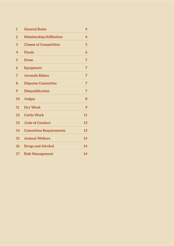| $\mathbf{1}$   | <b>General Rules</b>          | 4  |
|----------------|-------------------------------|----|
| $\overline{2}$ | <b>Membership/Affiliation</b> | 4  |
| 3              | <b>Classes of Competition</b> | 5  |
| 4              | <b>Finals</b>                 | 6  |
| 5              | <b>Dress</b>                  | 7  |
| 6              | <b>Equipment</b>              | 7  |
| 7              | <b>Juvenile Riders</b>        | 7  |
| 8              | <b>Disputes Committee</b>     | 7  |
| 9              | <b>Disqualification</b>       | 7  |
| 10             | <b>Judges</b>                 | 8  |
| 11             | <b>Dry Work</b>               | 9  |
| 12             | <b>Cattle Work</b>            | 11 |
| 13             | <b>Code of Conduct</b>        | 13 |
| 14             | <b>Committee Requirements</b> | 13 |
| 15             | <b>Animal Welfare</b>         | 14 |
| 16             | <b>Drugs and Alcohol</b>      | 14 |
| 17             | <b>Risk Management</b>        | 14 |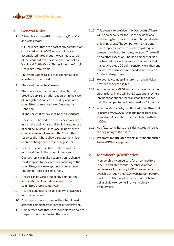# **1 General Rules**

- 1.1 A two phase competition comprising Dry Work and Cattle Work.
- 1.2 All Challenges that are a part of any competition conducted within ASCA where points are accumulated throughout the year must consist of the standard two phase competition of Dry Work and Cattle Work. This includes the Classic Challenge Premiership.
- 1.3 The event is open to all breeds of horses bred anywhere in the world.
- 1.4 The event is open to all sexes.
- 1.5 The horse's age shall be determined by their breed society registration papers or in the case of unregistered horses by the duly appointed committee representative eg. Veterinarian, Dentition.

(i) The horses Birthday shall be the 1st August.

- 1.6 Horses must be ridden by the same competitor in both the preliminary and final phases. In case of genuine injury or illness occurring after the commencement of an event the Committee reserves the right to allow a replacement rider. Should a change occur, that change is final.
- 1.7 Competitors must adhere to the draw. Horses must be ridden in the order of the draw. Competitors can make a submission to change the draw prior to the event commencing to the committee, only in exceptional circumstances. The committee's decision is final.
- 1.8 Horses can be vetted out at any point during a competition. This is determined by the committee's representative/s.
- 1.9 It is the competitors responsibility to have their information correct.
- 1.10 A change of horse's names will not be allowed after the commencement of the division/event.
- 1.11 Committees note that prize money is to be paid to the person who nominated the horse.
- 1.12 This event is to be ridden **TWO HANDED**. There will be no penalty for the use of one hand at a walk during herd work, cracking whip, or at entry or leaving arena. The competitor may use one hand at speed in order to crack whip if required. to reset their hat or for safety reasons. There will be no other exception. Should a competitor ride one handed they will receive a "0" score for that manoeuvre plus a 20 point penalty. More than one manoeuvre performed one handed will incur a "0" for the entire pattern.
- 1.13 Horses may compete in more than one division provided they are eligible.
- 1.14 All nominations MUST be paid by the nomination closing date. There will be NO exceptions. Where late nominations are taken in good faith, if not paid the competitor will be banned for 12 months.
- 1.15 Any campdraft run by an affiliated committee that is insured by ASCA must be run to the rules of a Campdraft Association that is affiliated with the NCCA.
- 1.16 At a fixture, the horse and riders status will be as the beginning of the fixture
- 1.17 **Programs for affiliated events must be submitted to the ASCA for approval.**

# **2 Membership/Affiliation**

Membership is compulsory for all competitors in ASCA affiliated events. Membership year commences 1st January to 31st December and is available through the ASCA website.Competitors must be a full financial member of ASCA before being eligible for points in any standings / premierships.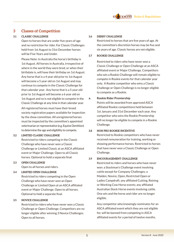# **3 Classes of Competition**

## **3.1 CLASSIC CHALLENGE**

Open to horses that are under five years of age and no restriction for rider. For Classic Challenges held from 1st August to 31st December horses will be Five Years and Under.

Please Note: In Australia the horse's birthday is 1st August. All horses in Australia, irrespective of where in the world they were bred, or when their birthdate is, will have their birthday on 1st August. Any horse that is a 4 year old prior to 1st August will become a 5 year old on 1st August and may continue to compete in the Classic Challenge for that calendar year. Any horse that is a 5 year old prior to 1st August will become a 6 year old on 1st August and so is not eligible to compete in the Classic Challenge at any time in that calendar year.

All registered horses must have their breed society registration papers available for inspection by the show committee. All unregistered horses must be inspected by the committee's appointed veterinarian or representative (e.g. Equine Dentition) to determine the age and eligibility to compete.

#### **3.2 LIMITED CLASSIC CHALLENGE**

Restricted to riders competing in the Classic Challenge who have never won a Classic Challenge or Limited Classic at an ASCA affiliated event or Major Challenge. Open to all Classic horses. Optional to hold a separate final.

## **3.3 OPEN CHALLENGE**

Open to all horses and riders.

## **3.4 LIMITED OPEN CHALLENGE**

Restricted to riders competing in the Open Challenge who have never won an Open Challenge or Limited Open at an ASCA affiliated event or Major Challenge. Open to all horses. Optional to hold a separate final.

## **3.5 NOVICE CHALLENGE**

Restricted to riders who have never won a Classic Challenge or Open Challenge. Competitors are no longer eligible after winning 3 Novice Challenges. Open to all horses.

#### **3.6 DERBY CHALLENGE**

Restricted to horses that are five years of age. At the committee's discretion horses may be five and six years of age. Classic horses are not eligible.

#### **3.7 ROOKIE CHALLENGE**

Restricted to riders who have never won a Classic Challenge or Open Challenge at an ASCA affiliated event or Major Challenge. Competitors who win a Rookie Challenge will remain eligible to compete in Rookie events for that calendar year only. A Rookie competitor who wins a Classic Challenge or Open Challenge is no longer eligible to compete as a Rookie.

#### **a. Rookie Rider Premiership**

Points will be awarded from approved ASCA affiliated Rookie competitions held between 1st January and 31st December each year. Any competitor who wins the Rookie Premiership will no longer be eligible to compete in a Rookie Challenge.

#### **3.8 NON PRO ROOKIE INCENTIVE**

Restricted to Rookie competitors who have never received remuneration for training, working or showing performance horses. Restricted to horses that have never won a Classic Challenge or Open Challenge.

## **3.9 ENCOURAGEMENT CHALLENGE**

Restricted to riders and horses who have never won: a Stockman's Challenge event involving cattle except for Company Challenges; a Maiden, Novice, Open, Restricted Open or Ladies Campdraft; any affiliated Cutting, Reining or Working Cow Horse events; any affiliated Australian Stock Horse events involving cattle. One win and the horse and rider are no longer eligible.

Any competitor who knowingly nominates for an ASCA affiliated event which they are not eligible for, will be banned from competing in ASCA affiliated events for a period of twelve months.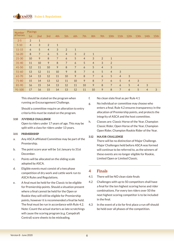| <b>Number</b> | <b>Placings</b> |                 |                |                |                |                |                |                |                |                |                |                  |                |                |      |
|---------------|-----------------|-----------------|----------------|----------------|----------------|----------------|----------------|----------------|----------------|----------------|----------------|------------------|----------------|----------------|------|
| of horses     | 1st             | 2 <sub>nd</sub> | 3rd            | 4th            | 5th            | 6th            | 7th            | 8th            | 9th            | 10th           | 11th           | 12 <sub>th</sub> | 13th           | 14th           | 15th |
| $2 - 5$       | 2               | $\mathbf{1}$    |                |                |                |                |                |                |                |                |                |                  |                |                |      |
| $5 - 10$      | $\overline{4}$  | 3               | 2              | $\mathbf{1}$   |                |                |                |                |                |                |                |                  |                |                |      |
| $11 - 15$     | 6               | 5               | $\overline{4}$ | 3              | 2              | $\mathbf{1}$   |                |                |                |                |                |                  |                |                |      |
| $16 - 20$     | 8               | $\overline{7}$  | 6              | 5              | $\overline{4}$ | 3              | $\overline{2}$ | $\mathbf{1}$   |                |                |                |                  |                |                |      |
| $21 - 30$     | 10              | 9               | 8              | $\overline{7}$ | 6              | 5              | $\overline{4}$ | 3              | 2              | $\mathbf{1}$   |                |                  |                |                |      |
| $31 - 40$     | 11              | 10              | 9              | 8              | $\overline{7}$ | 6              | 5              | $\overline{4}$ | 3              | 2              |                |                  |                |                |      |
| 41-50         | 12              | 11              | 10             | $\mathcal{P}$  | 8              | $\overline{7}$ | 6              | 5              | $\overline{4}$ | 3              |                |                  |                |                |      |
| $51 - 60$     | 13              | 12              | 11             | 10             | 9              | 8              | $\overline{7}$ | 6              | 5              | $\overline{4}$ | 3              |                  |                |                |      |
| 61-70         | 14              | 13              | 12             | 11             | 10             | 9              | 8              | $\overline{7}$ | 6              | 5              | $\overline{4}$ | 3                |                |                |      |
| 71-80         | 15              | 14              | 13             | 12             | 11             | 10             | 9              | 8              | $\overline{7}$ | 6              | 5              | $\overline{4}$   | 3              |                |      |
| 81-90         | 16              | 15              | 14             | 13             | 12             | 11             | 10             | 9              | 8              | $\overline{7}$ | 6              | 5                | $\overline{4}$ | 3              |      |
| 91-100        | 17              | 16              | 15             | 14             | 13             | 12             | 11             | 10             | 9              | 8              | $\overline{7}$ | 6                | 5              | $\overline{4}$ | 3    |

This should be stated on the program when running an Encouragement Challenge.

Should a committee require an alteration to entry criteria this must be stated on the program.

## **3.10 JUVENILE CHALLENGE**

Open to riders under 17 years of age. This may be split with a class for riders under 13 years.

## **3.11 PREMIERSHIP**

- a. Any ASCA affiliated Committee may be part of the Premiership.
- b. The point score year will be 1st January to 31st December.
- c. Points will be allocated on the sliding scale adopted by ASCA.
- d. Eligible events must consist of a two phase competition of dry work and cattle work run to ASCA Rules and Regulations.
- e. A final must be held for the Classic to be eligible for Premiership points. Should a situation present where a final cannot be held for the Open or Rookie they will still be eligible for Premiership points, however it is recommended a final be held. The final must be run in accordance with Rule 4.2. Note: Count the actual starters as late scratchings will cause the scoring program (e.g. Campdraft Central) score sheets to be misleading.
- f. No clean slate final as per Rule 4.1
- g. No individual or committee may choose who enters a final. Rule 4.2 ensures transparency in the allocation of Premiership points, and protects the integrity of ASCA and the host committee.
- h. Classes are: Classic Horse of the Year, Champion Classic Rider, Open Horse of the Year, Champion Open Rider, Champion Rookie Rider of the Year.

## **3.12 MAJOR CHALLENGE**

There will be no distinction of Major Challenge. Major Challenges held before ASCA was formed will continue to be referred to, as the winners of these events are no longer eligible for Rookie, Limited Open or Limited Classic.

# **4 Finals**

- 4.1 There will be NO clean slate finals
- 4.2 Challenges with up to 50 competitors shall have a final for the ten highest scoring horse and rider combinations. For every ten riders over 50 the next highest scoring competitor is to be included in the final.
- 4.3 In the event of a tie for first place a run off should be held over all phases of the competition.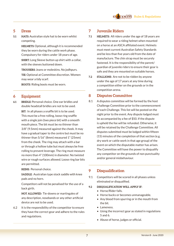# **5 Dress**

**5.1 HATS:** Australian style hat to be worn whilst competing.

> **HELMETS:** Optional, although it is recommended they be worn during the cattle work phase. Compulsory for riders under 18 years of age.

**SHIRT:** Long Sleeve button up shirt with a collar, with the sleeves buttoned down.

**TROUSERS:** Jeans or moleskins. No jodhpurs.

**TIE:** Optional at Committee discretion. Women may wear a tidy scarf.

**BOOTS**: Riding boots must be worn.

# **6 Equipment**

**6.1 BRIDLE:** Personal choice. One ear bridles and double headstall bridles are not to be used. **BIT:** In all phases a snaffle bit is to be used. This must be a free rolling, loose ring snaffle with a single join (two piece bit) with a smooth mouth piece. The bit must be no thinner than 3/8" (9.5mm) measured against the cheek. It may have a gradual taper to the centre but must be no thinner than 5/16" (8mm) measured 1" (25mm) from the cheek. The ring may attach with a bar or through a hollow tube but must always be free rolling to prevent leverage. The ring must measure no more than 4" (100mm) in diameter. No twisted wire or rough surfaces allowed. Loose ring bar bits are permitted.

**REINS:** Personal choice.

**SADDLE:** Australian type stock saddle with knee pads and no horn.

Competitors will not be penalised for the use of a back girth.

**NOT ALLOWED:** Tie-downs or martingales of any description, nosebands or any other artificial device are not to be used.

6.2 It is the responsibility of the competitor to ensure they have the correct gear and adhere to the rules and regulations.

# **7 Juvenile Riders**

- **7.1 HELMETS:** All riders under the age of 18 years are required to wear a riding helmet when mounted on a horse at an ASCA affiliated event. Helmets must meet current Australian Safety Standards and be less than five years old from the date of manufacture. The chin strap must be securely fastened. It is the responsibility of the parent/ guardian of juvenile riders to ensure their gear is safe and they are mounted on suitable horses.
- **7.2 STALLIONS:** Are not to be ridden by anyone under the age of 17 years at any time during a competition either on the grounds or in the competition arena.

# **8 Disputes Committee**

8.1 A disputes committee will be formed by the host Challenge Committee prior to the commencement of each Challenge. This list will be posted on the night prior to the event. Any dispute lodged must be accompanied by a fee of \$50. If the dispute is upheld the fee will be refunded. Otherwise, it will be retained by the Challenge Committee. All disputes submitted must be lodged within fifteen (15) minutes of the completion of that section (e.g. dry work or cattle work in that age group) of the event on which the disputable matter has arisen. The Committee will have the power to disqualify any competitor on the grounds of non punctuality and/or general misbehaviour.

# **9 Disqualification**

9.1 Competitors will be scored in all phases unless eliminated or disqualified.

## **9.2 DISQUALIFICATION WILL APPLY IF:**

- Horse/Rider falls.
- Horse bucks or becomes unmanageable.
- Any blood from spurring or in the mouth from the bit.
- Lameness.
- Using the incorrect gear as stated in regulations 5 and 6.
- Abuse of horse, judges or official.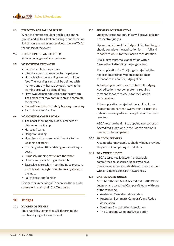## **9.3 DEFINITION OF FALL OF HORSE:**

When the horse's shoulder and hip are on the ground and all four feet are facing in one direction. Fall of horse in any event receives a score of '0' for that phase of the event.

## **9.4 DEFINITION OF FALL OF RIDER:** Rider is no longer astride the horse.

#### **9.5 "0" SCORE FOR DRY WORK**

- Fail to complete the pattern.
- Introduce new manoeuvres to the pattern.
- Horse leaving the working area with all four feet. The working area shall be defined with markers and any horse obviously leaving the working area will be disqualified.
- Have two (2) major deviations to the pattern. The competitor may continue on and complete the pattern.
- Blatant disobedience, biting, bucking or rearing.
- Fall of horse and/or rider.

## **9.6 "0" SCORE FOR CATTLE WORK**

- The beast showing any blood, lameness or distress or bailing up.
- Horse tail turns.
- Dangerous riding.
- Handling cattle in arena detrimental to the wellbeing of stock.
- Crashing into cattle and dangerous hocking of beast.
- Purposely running cattle into the fence.
- Unnecessary scattering of the mob.
- Excessive aggression in continuing to pressure a lost beast through the mob causing stress to the mob.
- Fall of horse and/or rider.

Competitors receiving a "0" score on the outside course will retain their Cut Out score.

# **10 Judges**

## **10.1 NUMBER OF JUDGES**

The organising committee will determine the number of judges for each event.

## **10.2 JUDGING ACCREDITATION**

Judging Accreditation Clinics will be available for prospective judges.

Upon completion of the Judges clinic, Trial Judges should complete the application form in full and forward to ASCA for the Board's consideration.

Trial judges must make application within 12months of attending the judges clinic.

If an application for Trial judge is rejected, the applicant may reapply upon completion of attendance at another judging clinic.

A Trial judge who wishes to obtain full Judging Accreditation must complete the required form and forward to ASCA for the Board's consideration.

If the application is rejected the applicant may reapply no sooner than twelve months from the date of receiving advice the application has been rejected.

ASCA reserve the right to appoint a person as an Accredited Judge who in the Board's opinion is deemed to be competent.

#### 10.3 **SHADOW JUDGING**

A competitor may apply to shadow judge provided they are not competing in that class

#### 10.4 **DRY WORK JUDGES**

ASCA accredited judge, or if unavailable, committees must source judges who have previous experience at a high level of competition with an emphasis on safety awareness.

#### **10.5 CATTLE WORK JUDGES**

Must be either an ASCA Accredited Cattle Work Judge or an accredited Campdraft judge with one of the following:

- Australian Campdraft Association
- Australian Bushman's Campdraft and Rodeo Association
- Southern Campdrafting Association
- The Gippsland Campdraft Association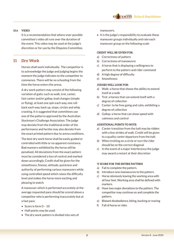## **10.6 VIDEO**

It is a recommendation that where-ever possible committee's video all runs over the duration of the event. This video may be used at the judge's discretion or for use by the Disputes Committee.

# **11 Dry Work**

Horses shall work individually. The competitor is to acknowledge the judge and judging begins the moment the judge indicates to the competitor to commence. There will be no schooling from the time the horse enters the arena.

A dry work pattern may consist of the following variation of gaits: such as walk, trot, canter, fast canter and/or gallop, lead changes (simple or flying), at least one spin each way, one roll back each way, back up, stops, circles and whip cracking. It is suggested that committees use one of the patterns approved by the Australian Stockman's Challenge Association. The judge may deviate from the traditional order of the performance and he/she may also deviate from the exact printed pattern due to arena conditions.

The best dry work horse shall be easily guided or controlled with little or no apparent resistance. Bad manners exhibited by the horse will be penalised. All deviations from the exact pattern must be considered a loss of control and marked down accordingly. Credit shall be given for the smoothness, finesse, attitude, quickness and authority of performing various maneuvers while using controlled speed which raises the difficulty level and makes the horse more exciting and pleasing to watch.

A maneuver which is performed accurately at the average requested pace should be scored above a competitor who is performing inaccurately but at a fast pace.

- Score is form 0 10
- Half points may be used.
- The dry work pattern is divided into sets of

maneuvers.

• It is the judge's responsibility to evaluate these maneuver groups individually and rate each maneuver group on the following scale:

#### **CREDIT WILL BE GIVEN FOR:**

- a) Correctness of pattern
- b) Correctness of manoeuvre
- c) A horse that is displaying a willingness to perform to the pattern and rider command
- d) A high degree of difficulty
- e) Smoothness

## **JUDGES WILL LOOK FOR:**

- a) Walk: a horse that shows the ability to extend itself at a walk
- b) Trot: a horses that can extend itself with a degree of collection
- c) Canter: to be free going and calm, exhibiting a degree of collection
- d) Gallop: a horse that can show speed with calmness and control

## **ADDITIONAL POINTS TO NOTE:**

- a) Canter transition from the halt may be ridden with a few strides of walk. Credit will be given to a quality canter departure from the halt.
- b) When trotting on a circle or turn the rider should be on the correct diagonal
- c) In the event of a major Interference the judge may award a restart at their discretion

#### **'0' SCORE FOR THE ENTIRE PATTERN**

- a) Fail to complete the pattern.
- b) Introduce new manoeuvres to the pattern.
- c) Horse obviously leaving the working area with all four feet. Working area shall be defined with markers.
- d) Have two major deviations to the pattern. The competitor may continue on and complete the pattern.
- e) Blatant disobedience, biting, bucking or rearing
- f) Fall of horse or rider.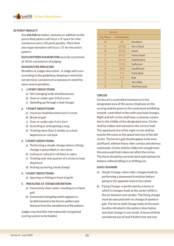## **20 POINT PENALTY**

Any **MAJOR** deviation, omission or addition to the prescribed pattern will incur a '0' score for that manoeuvre plus a 20 point penalty. More than one major deviation will incur a '0' for the entire pattern.

**EACH PATTERN MANOEUVRE** must be scored out of 10 for consistency of judging.

#### **MANOEUVRE PENALTIES**

Penalties at Judges discretion: A Judge will score according to the guidelines, keeping in mind that not all minor variations of a manoeuvre need the same severe penalties.

#### **1. ½ POINT DEDUCTIONS:**

- a) Not changing leads simultaneously
- b) Over or under spin 1/8 of a turn
- c) Speeding up through a lead change

#### **2. 1 POINT DEDUCTIONS:**

- a) Incorrect lead/disunited each ¼ circle
- b) Break of gait
- c) Over or under spin  $\frac{1}{4}$  of a turn
- d) Scotching or anticipating a stop
- e) Trotting more than 2 strides on a lead departure or roll back

#### **3. 2 POINT DEDUCTIONS:**

- a) Performing a simple change where a flying change is prescribed or vice versa
- b) Lockup or refusal in roll back or spins
- c) Trotting over one quarter of a circle on lead departure
- d) Kicking up during a lead change

## **4. 5 POINT DEDUCTIONS:**

a) Spurring or hitting in front of girth

#### **5. PENALTIES AT JUDGES DISCRETION:**

- a) Excessively slow canter resulting in a 4 beat gait
- b) Excessively fast gallop which appears to be detrimental to the horses welfare and detracts from the smoothness of the pattern.

Judges may find this internationally recognised scoring system to be helpful.

|                | <b>Scores</b> |                     |
|----------------|---------------|---------------------|
| Dry Work       | Cattle Work   |                     |
| 10             | 25            | <b>Fxcellent</b>    |
| 9              | 24-23         | <b>Very Good</b>    |
| 8              | $22 - 20$     | Good                |
| 7              | $19 - 17$     | <b>Fairly Good</b>  |
| 6              | $16 - 14$     | Satisfactory        |
| 5              | $13 - 11$     | Sufficient          |
| 4              | $10 - 8$      | Insufficient        |
| 3              | $7 - 5$       | <b>Fairly Bad</b>   |
| $\overline{2}$ | $4 - 2$       | <b>Bad</b>          |
| 1              | $\mathbf{1}$  | <b>Very Bad</b>     |
|                | ∩             | <b>Not Executed</b> |

## **CIRCLES**

Circles are a controlled manoeuvre in the designated area of the arena. Emphasis on the scoring shall be given to the contestant exhibiting smooth, controlled circles with easy lead changes. Right and left circles shall have a common centre line in the middle of the designated area. Circles shall be ridden and started on the correct lead. The speed and size of the right circles shall be exactly the same as the speed and size of the left circles. The horse's gait should appear to be even and fluent, without heavy rider contact and obvious commands. Circles shall be ridden far enough from the arena wall that it does not affect the circles. The horse should be correctly bent and maintain its balance without falling in or drifting out.

#### **LEAD CHANGES**

- a) Simple Change: when rider changes leads by performing a downward transition before going to the opposite lead at the canter.
- b) Flying Change: is performed by a horse in which it changes leads at the canter while in the air between two strides. The flying change must be executed with no change of speed or gait. The horse shall change leads at the exact location dictated in the pattern description and shall change in one stride. A horse shall be considered out of lead if both front and rear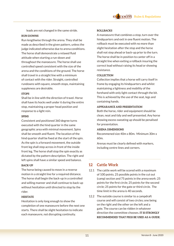leads are not changed in the same stride.

#### **RUN-DOWNS**

Run lengthwise through the arena. They shall be made as described in the given pattern, unless the judge indicated otherwise due to arena conditions. The horse shall demonstrate a relaxed fluid attitude when starting a run-down and throughout the manoeuvre. The horse shall use controlled speed consistent with the size of the arena and the conditions of the ground. The horse shall travel in a straight line with a minimum of contact with the rider. Straight, controlled rundowns with square, smooth stops, maintaining suppleness are desirable.

#### **STOPS**

Shall be in line with the direction of travel. Horse shall have its hocks well under it during the entire stop, maintaining a proper head position and response to a light rein.

#### **SPINS**

Consistent and positioned 360 degree turns executed with the hind quarter in the same geographic area with minimal movement. Spins shall be smooth and fluent. The location of the hind quarter shall be fixed at the start of the spin. As the spin is a forward movement, the outside front leg shall step across in front of the inside front leg. The horse shall stop the spin exactly as dictated by the pattern description. The right and left spins shall have a similar speed and balance.

#### **BACK-UP**

The horse being caused to move in a reverse motion in a straight line for a required distance. The horse shall begin the back-up in a controlled and willing manner and shall continue to back-up without hesitation until directed to stop by the rider.

#### **HESITATE**

Hesitation is only long enough to show the completion of one manoeuvre before the next one starts. There shall be slight hesitation to indicate each manoeuvre, not disrupting continuity.

#### **ROLLBACKS**

A manoeuvre that combines a stop, turn over the hindquarters and exit in one fluent motion. The rollback must be executed with no more than slight hesitation after the stop and the horse shall not step ahead or back-up prior to the turn. The horse shall be in position to canter off in a straight line when exiting a rollback insuring the correct lead without raising its head or showing resistance.

#### **COLLECTION**

Collection implies that a horse will carry itself in frame by engaging its hindquarters and whilst maintaining a lightness and mobility of the forehand with only light contact through the bit. This is achieved by the use of the seat, legs and containing hands.

#### **APPEARANCE AND PRESENTATION**

Both the horse, rider and equipment should be clean, neat and tidy and well presented. Any horse showing excess sweating up should be penalised for presentation.

#### **ARENA DIMENSIONS**

Recommened size 40m x 80m. Minimum 30m x 60m.

Arenas must be clearly defined with markers, including centre lines and corners.

# **12 Cattle Work**

- 12.1 The cattle work will be scored with a maximum of 100 points. 25 possible points in the cut out (camp) section and 75 points in the arena work: 25 points for the first circle; 25 points for the second circle; 25 points for the gate or third circle. The time limit in the arena is 40 seconds.
- 12.2 The outside course is similar to a campdraft course and will consist of two circles; one being on the right and the other on the left and a gate. The course can be ridden in whatever direction the committee chooses. **IT IS STRONGLY RECOMMENDED THAT PEGS BE USED AS A GUIDE.**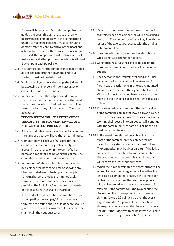A gate will be present. Once the competitor has guided the beast through the gate the run will be terminated immediately. If the competitor is unable to make the gate they must continue to demonstrate they are in control of the beast and attempt to complete a third circle. If a peg or gate is missed, the competitor must continue and not make a second attempt. The competitor is allowed 1 attempt at each peg/circle.

- 12.3 It is permissible for the competitor to quietly look at the cattle before they begin their run but the herd must not be disturbed.
- 12.4 Whilst working cattle in the camp, the judges will be assessing the horse and rider's accuracy on cattle, style and effectiveness.
- 12.5 In the camp, when the judges have determined that the competitor has lost control of the beast twice, the competitor's "cut out" section will be terminated and they will be scored a '0' for the cut out section.

# **THE COMPETITOR WILL BE ASSISTED OUT OF THE CAMP BY THE MOUNTED STEWARD AND ALLOWED TO CONTINUE ON COURSE.**

- 12.6 A horse that hits a beast over the hocks or runs up the rump of a beast will have the run terminated.
- 12.7 Competitors will receive a "0" score for their outside course should they deliberately run a beast into the fence or in the event of fall of horse or rider before completing the course. The competitor shall retain their cut out score.
- 12.8 In the event of a beast which has been selected by a competitor, becoming lame or showing any bleeding or distress or bails up and attempts to horn a horse, the judge shall immediately terminate the round and score the competitor, providing the first circle/peg has been completed. In this case no re-run shall be awarded.

If the said selected beast behaves as above prior to completing the first peg/circle, the judge shall terminate the round and no outside score shall be given. No re-run will be awarded. The competitor shall retain their cut out score.

- 12.9 Where the judge terminates an outside run due to interference, the competitor will be awarded a re-start. The competitor will start again with the lesser of the two cut out scores with the original entitlement of cattle.
- 12.10 The competitor must continue to ride until the whip terminates the run for a score.
- 12.11 Committee reserves the right to decide on the maximum and minimum number of cattle in the cut out.
- 12.12 Each person in the Preliminary round and Final round of the Cattle Work will receive one (1) fresh head of cattle – one in, one out. A mounted steward will be present throughout the Cut Out Work to inspect cattle and to remove any cattle from the camp that are distressed, lame, diseased or blind.
- 12.13 If the selected beast jumps out the back or side of the camp the competitor may be given a re-run provided they have not used excessive pressure in working their beast. The competitor will continue with the same number of cattle but all penalties must be carried forward.
- 12.14 In the event the selected beast breaks out the front of the camp before the competitor has called for the gate the competitor must follow. The competitor may be given a re-run if the judge considers the competitor has not contributed to the break out and has been disadvantaged, but will receive the lesser cut out score.
- 12.15 When the run is terminated the competitor will be scored for work done regardless of whether the last circle is completed. That is, if the competitor is obviously attempting the next circle, points will be given relative to the work completed. For example, if the competitor is halfway around the circle when the time expires, if the judge was thinking it was a 20 point circle then the score to give would be 10 points. If the competitor is three quarter way around the circle and the beast bails up, if the judge was thinking it was a 20 point circle the score to give would be 15 points.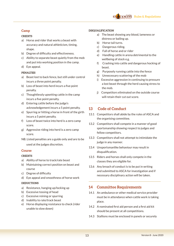## **Camp**

## **CREDITS**

- a) Horse and rider that works a beast with accuracy and natural athleticism, timing, shape.
- b) Degree of difficulty and effectiveness.
- c) Ability to separate beast quietly from the mob and put into working position in the camp.
- d) Eye appeal.

## **PENALTIES**

- a) Beast lost to back fence, but still under control incurs a three point penalty.
- b) Loss of beast into herd incurs a five point penalty.
- c) Thoughtlessly upsetting cattle in the camp incurs a five point penalty.
- d) Entering cattle before the judge's acknowledgement incurs a 5 point penalty.
- e) Spurring or hitting a horse in front of the girth incurs a 5 point penalty.
- f) Loss of beast twice into herd is a zero camp score.
- g) Aggressive riding into herd is a zero camp score.
- NB. Listed penalties are a guide only and are to be used at the judges discretion.

## **Course**

## **CREDITS**

- a) Ability of horse to track/rate beast
- b) Maintaining correct position on beast and course
- c) Degree of difficulty
- d) Eye appeal and smoothness of horse work

## **DEDUCTIONS**

- a) Resistance, hanging up/locking up
- b) Excessive tossing of head
- c) Excessive reining or spurring
- d) Inability to rate/track beast
- e) Horse displaying resistance to check (rider unable to slow down)

## **DISQUALIFICATION**

- a) The beast showing any blood, lameness or distress or bailing up.
- b) Horse tail turns.
- c) Dangerous riding.
- d) Fall of horse and or rider
- e) Handling cattle in arena detrimental to the wellbeing of stock e.g.
- f) Crashing into cattle and dangerous hocking of beast.
- g) Purposely running cattle into the fence
- h) Unnecessary scattering of the mob
- i) Excessive aggression in continuing to pressure a lost beast through the herd causing stress to the mob.
- j) Competitors eliminated on the outside course will retain their cut out score.

# **13 Code of Conduct**

- 13.1 Competitors shall abide by the rules of ASCA and the organising committee.
- 13.2 Competitors shall compete in a manner of good sportsmanship showing respect to judges and fellow competitors.
- 13.3 Competitors shall not attempt to intimidate the judge in any manner.
- 13.4 Unsportsmanlike behaviour may result in disqualification.
- 13.5 Riders and horses shall only compete in the classes they are eligible for.
- 13.6 Any breach of conduct is to be put in writing and submitted to ASCA for investigation and if necessary disciplinary action will be taken.

# **14 Committee Requirements**

- 14.1 An ambulance or other medical service provider must be in attendance when cattle work is taking place.
- 14.2 A nominated first aid person and a first aid kit should be present at all competitions.
- 14.3 Stallions must be enclosed in panels or securely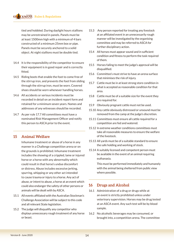tied and hobbled. During daylight hours stallions may be unrestrained in panels. Panels must be at least 1500mm high with a minimum of 4 bars constructed of a minimum 25mm box or pipe. Panels must be securely anchored to a solid object. At night stallions must be double tied.

- 14.4 It is the responsibility of the competitor to ensure their equipment is in good repair and is correctly fitted.
- 14.5 Riding boots that enable the foot to come free of the stirrup iron, and prevents the foot from sliding through the stirrup iron, must be worn. Covered shoes should be worn whenever handling horses.
- 14.6 All accidents or serious incidents must be recorded in detail on an incident report form and retained for a minimum seven years. Names and addresses of any witnesses should be recorded.
- 14.7 As per rule 17.7 All committees must have a nominated Risk Management Officer and notify this person to ASCA prior to the event.

# **15 Animal Welfare**

Inhumane treatment or abuse of a horse in any manner in a Challenge competition arena or on the grounds is prohibited. Inhumane treatment includes the showing of a crippled, lame or injured horse or a horse with any abnormality which could result in that horse's undue discomfort or distress. Abuse includes excessive jerking, spurring, whipping or any other act intended to cause trauma or injury to a horse. Any act of abuse, or intent to abuse, a horse at an event which could also endanger the safety of other persons or animals will be dealt with by ASCA.

- 15.1 All events affiliated with the Australian Stockman's Challenge Association will be subject to this code and all relevant State legislation.
- 15.2 The judge will disqualify any competitor who displays unnecessary rough treatment of any horse or beast.
- 15.3 Any person reported for treating any livestock at an affiliated event in an unnecessarily rough manner will be investigated by the organising committee and may be referred to ASCA for further disciplinary action.
- 15.4 All horses must appear sound and in sufficient condition and fitness to perform the task required of them.
- 15.5 Horses failing to meet the judge's approval will be disqualified.
- 15.6 Committee's must strive to have an arena surface that minimises the risk of injury.
- 15.7 Cattle must be in at least strong store condition in what is accepted as reasonable condition for that area.
- 15.8 Cattle must be of a suitable size for the event they are required for.
- 15.9 Obviously pregnant cattle must not be used.
- 15.10 Any cattle obviously distressed or unsound must be removed from the camp at the judge's discretion.
- 15.11 Committees must ensure all cattle required for a competition are fed and watered.
- 15.12 In extreme weather conditions committees must take all reasonable measures to ensure the welfare of the livestock.
- 15.13 All yards must be of a suitable standard to ensure the safe holding and working of stock.
- 15.14 A suitably licensed and competent person must be available in the event of an animal requiring euthanasia.

This must be performed immediately and humanely with the animal being sheltered from public view where possible.

# **16 Drugs and Alcohol**

- 16.1 Administration of a drug or drugs while at an event is strictly prohibited unless under veterinary supervision. Horses may be drug tested at an ASCA event. Any such test will be by blood sample.
- 16.2 No alcoholic beverages may be consumed, or brought into, a competition arena. The committee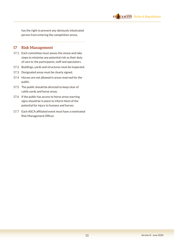

has the right to prevent any obviously intoxicated person from entering the competition arena.

# **17 Risk Management**

- 17.1 Each committee must assess the venue and take steps to minimise any potential risk as their duty of care to the participants, staff and spectators.
- 17.2 Buildings, yards and structures must be inspected.
- 17.3 Designated areas must be clearly signed.
- 17.4 Horses are not allowed in areas reserved for the public.
- 17.5 The public should be directed to keep clear of cattle yards and horse areas.
- 17.6 If the public has access to horse areas warning signs should be in place to inform them of the potential for injury to humans and horses.
- 17.7 Each ASCA affiliated event must have a nominated Risk Management Officer.